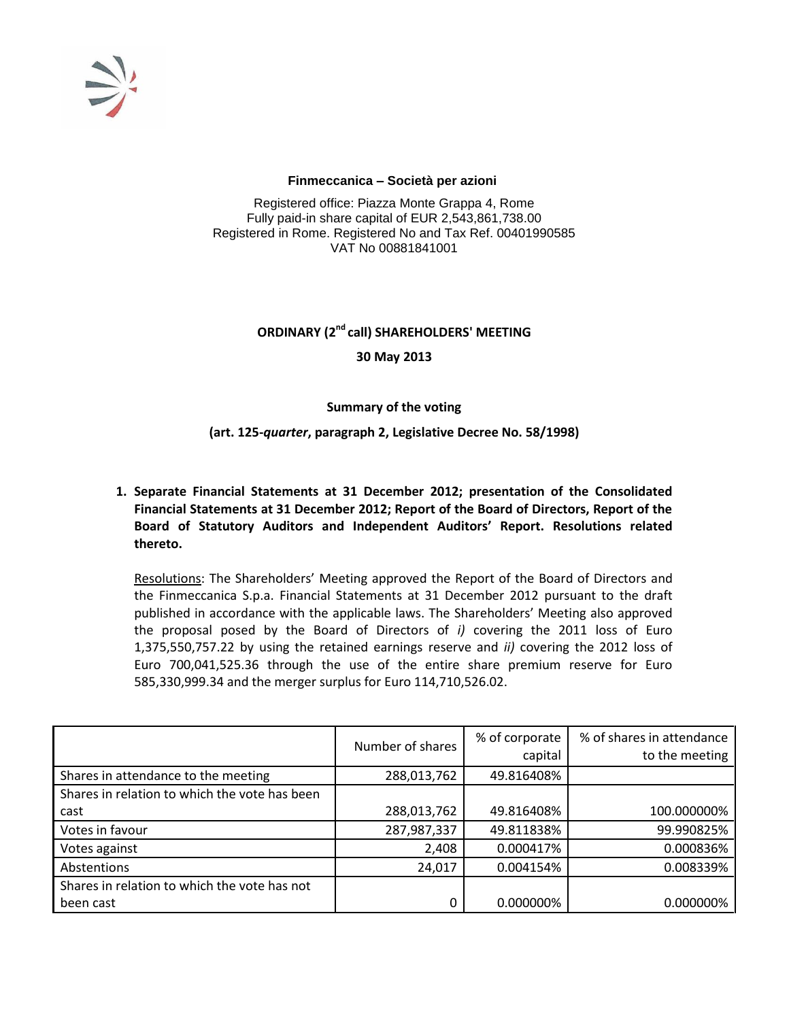

#### **Finmeccanica – Società per azioni**

Registered office: Piazza Monte Grappa 4, Rome Fully paid-in share capital of EUR 2,543,861,738.00 Registered in Rome. Registered No and Tax Ref. 00401990585 VAT No 00881841001

# **ORDINARY (2nd call) SHAREHOLDERS' MEETING 30 May 2013**

# **Summary of the voting**

# **(art. 125-***quarter***, paragraph 2, Legislative Decree No. 58/1998)**

**1. Separate Financial Statements at 31 December 2012; presentation of the Consolidated Financial Statements at 31 December 2012; Report of the Board of Directors, Report of the Board of Statutory Auditors and Independent Auditors' Report. Resolutions related thereto.**

Resolutions: The Shareholders' Meeting approved the Report of the Board of Directors and the Finmeccanica S.p.a. Financial Statements at 31 December 2012 pursuant to the draft published in accordance with the applicable laws. The Shareholders' Meeting also approved the proposal posed by the Board of Directors of *i)* covering the 2011 loss of Euro 1,375,550,757.22 by using the retained earnings reserve and *ii)* covering the 2012 loss of Euro 700,041,525.36 through the use of the entire share premium reserve for Euro 585,330,999.34 and the merger surplus for Euro 114,710,526.02.

|                                               | Number of shares | % of corporate<br>capital | % of shares in attendance<br>to the meeting |
|-----------------------------------------------|------------------|---------------------------|---------------------------------------------|
| Shares in attendance to the meeting           | 288,013,762      | 49.816408%                |                                             |
| Shares in relation to which the vote has been |                  |                           |                                             |
| cast                                          | 288,013,762      | 49.816408%                | 100.000000%                                 |
| Votes in favour                               | 287,987,337      | 49.811838%                | 99.990825%                                  |
| Votes against                                 | 2,408            | 0.000417%                 | 0.000836%                                   |
| Abstentions                                   | 24,017           | 0.004154%                 | 0.008339%                                   |
| Shares in relation to which the vote has not  |                  |                           |                                             |
| been cast                                     | 0                | 0.000000%                 | 0.000000%                                   |